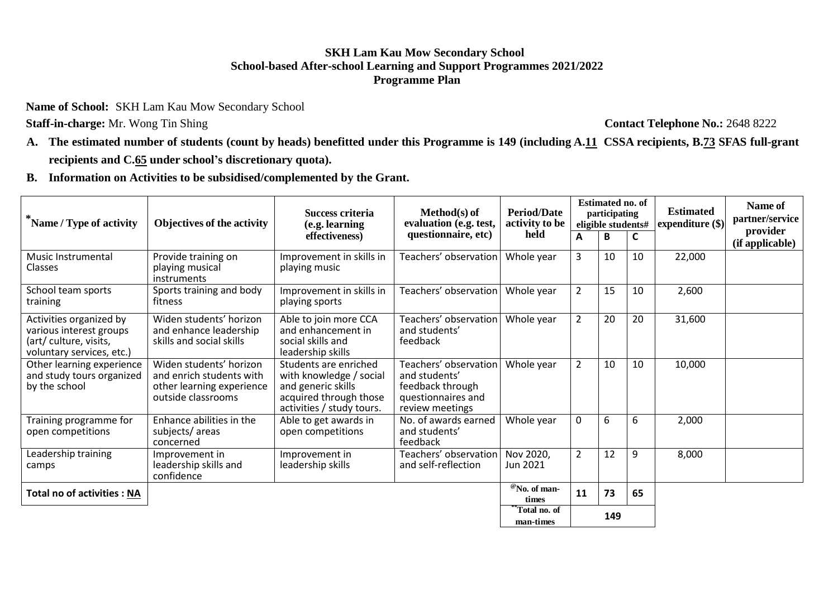## **SKH Lam Kau Mow Secondary School School-based After-school Learning and Support Programmes 2021/2022 Programme Plan**

**Name of School:** SKH Lam Kau Mow Secondary School

**Staff-in-charge:** Mr. Wong Tin Shing **Contact Telephone No.:** 2648 8222

A. The estimated number of students (count by heads) benefitted under this Programme is 149 (including A.11 CSSA recipients, B.73 SFAS full-grant **recipients and C.65 under school's discretionary quota).**

**B. Information on Activities to be subsidised/complemented by the Grant.**

| Name / Type of activity                                                                                   | Objectives of the activity                                                                             | Success criteria<br>(e.g. learning                                                                                            | $Method(s)$ of<br>evaluation (e.g. test,                                                            | <b>Period/Date</b><br>activity to be     | <b>Estimated no. of</b><br>participating<br>eligible students# |    |    | <b>Estimated</b><br>expenditure (\$) | Name of<br>partner/service  |
|-----------------------------------------------------------------------------------------------------------|--------------------------------------------------------------------------------------------------------|-------------------------------------------------------------------------------------------------------------------------------|-----------------------------------------------------------------------------------------------------|------------------------------------------|----------------------------------------------------------------|----|----|--------------------------------------|-----------------------------|
|                                                                                                           |                                                                                                        | effectiveness)                                                                                                                | questionnaire, etc)                                                                                 | held                                     | А                                                              |    | C  |                                      | provider<br>(if applicable) |
| Music Instrumental<br><b>Classes</b>                                                                      | Provide training on<br>playing musical<br><i>instruments</i>                                           | Improvement in skills in<br>playing music                                                                                     | Teachers' observation                                                                               | Whole year                               | 3                                                              | 10 | 10 | 22,000                               |                             |
| School team sports<br>training                                                                            | Sports training and body<br>fitness                                                                    | Improvement in skills in<br>playing sports                                                                                    | Teachers' observation                                                                               | Whole year                               | 2                                                              | 15 | 10 | 2,600                                |                             |
| Activities organized by<br>various interest groups<br>(art/ culture, visits,<br>voluntary services, etc.) | Widen students' horizon<br>and enhance leadership<br>skills and social skills                          | Able to join more CCA<br>and enhancement in<br>social skills and<br>leadership skills                                         | Teachers' observation<br>and students'<br>feedback                                                  | Whole year                               | $\overline{2}$                                                 | 20 | 20 | 31,600                               |                             |
| Other learning experience<br>and study tours organized<br>by the school                                   | Widen students' horizon<br>and enrich students with<br>other learning experience<br>outside classrooms | Students are enriched<br>with knowledge / social<br>and generic skills<br>acquired through those<br>activities / study tours. | Teachers' observation<br>and students'<br>feedback through<br>questionnaires and<br>review meetings | Whole year                               | $\overline{2}$                                                 | 10 | 10 | 10,000                               |                             |
| Training programme for<br>open competitions                                                               | Enhance abilities in the<br>subjects/areas<br>concerned                                                | Able to get awards in<br>open competitions                                                                                    | No. of awards earned<br>and students'<br>feedback                                                   | Whole year                               | 0                                                              | 6  | 6  | 2,000                                |                             |
| Leadership training<br>camps                                                                              | Improvement in<br>leadership skills and<br>confidence                                                  | Improvement in<br>leadership skills                                                                                           | Teachers' observation<br>and self-reflection                                                        | Nov 2020,<br>Jun 2021                    | $\overline{2}$                                                 | 12 | 9  | 8,000                                |                             |
| <b>Total no of activities : NA</b>                                                                        |                                                                                                        |                                                                                                                               |                                                                                                     | <sup>@</sup> No. of man-<br><b>times</b> | 11                                                             | 73 | 65 |                                      |                             |
|                                                                                                           |                                                                                                        |                                                                                                                               |                                                                                                     | *Total no. of<br>man-times               | 149                                                            |    |    |                                      |                             |